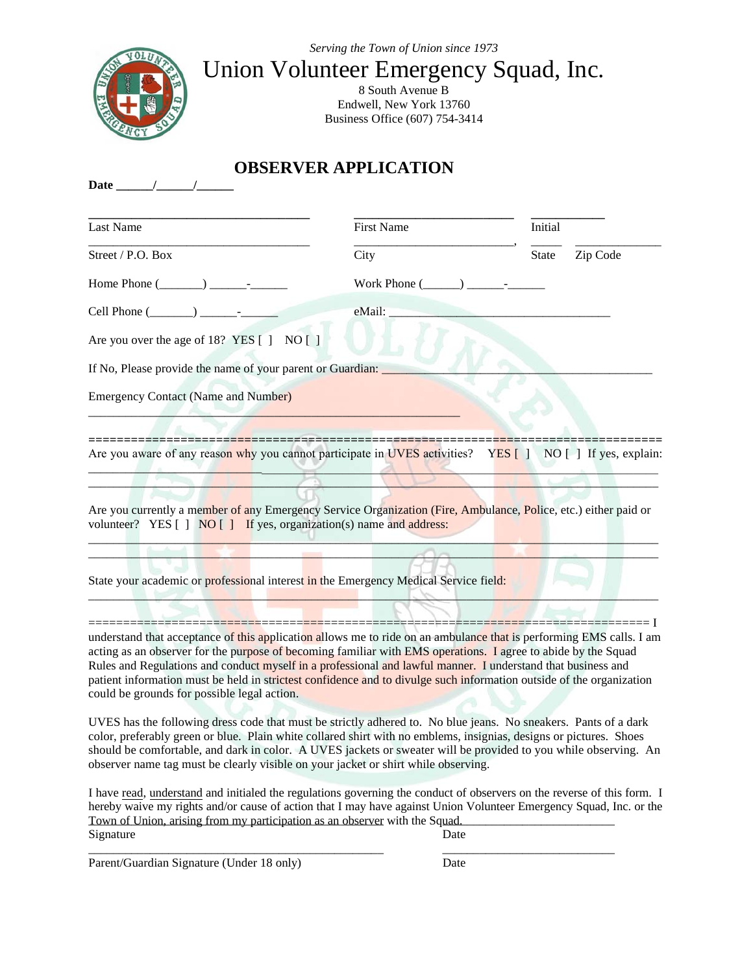*Serving the Town of Union since 1973*



## Union Volunteer Emergency Squad, Inc.

8 South Avenue B Endwell, New York 13760 Business Office (607) 754-3414

## **OBSERVER APPLICATION**

| Last Name                                                                                                                                                                                                                                                                                                                                                                                                                                                                                                                   | <b>First Name</b> | Initial                              |
|-----------------------------------------------------------------------------------------------------------------------------------------------------------------------------------------------------------------------------------------------------------------------------------------------------------------------------------------------------------------------------------------------------------------------------------------------------------------------------------------------------------------------------|-------------------|--------------------------------------|
| Street / P.O. Box                                                                                                                                                                                                                                                                                                                                                                                                                                                                                                           | City              | Zip Code<br>State                    |
| Home Phone $(\_\_\_\_\_\_\_\_\_\_$                                                                                                                                                                                                                                                                                                                                                                                                                                                                                          |                   |                                      |
|                                                                                                                                                                                                                                                                                                                                                                                                                                                                                                                             | eMail:            |                                      |
| Are you over the age of 18? YES [ ] NO [ ]                                                                                                                                                                                                                                                                                                                                                                                                                                                                                  |                   |                                      |
| If No, Please provide the name of your parent or Guardian:                                                                                                                                                                                                                                                                                                                                                                                                                                                                  |                   |                                      |
| <b>Emergency Contact (Name and Number)</b>                                                                                                                                                                                                                                                                                                                                                                                                                                                                                  |                   |                                      |
|                                                                                                                                                                                                                                                                                                                                                                                                                                                                                                                             |                   |                                      |
| Are you aware of any reason why you cannot participate in UVES activities? YES [] NO [] If yes, explain:                                                                                                                                                                                                                                                                                                                                                                                                                    |                   |                                      |
|                                                                                                                                                                                                                                                                                                                                                                                                                                                                                                                             |                   |                                      |
| Are you currently a member of any Emergency Service Organization (Fire, Ambulance, Police, etc.) either paid or<br>volunteer? YES [ ] NO [ ] If yes, organization(s) name and address:                                                                                                                                                                                                                                                                                                                                      |                   |                                      |
| State your academic or professional interest in the Emergency Medical Service field:                                                                                                                                                                                                                                                                                                                                                                                                                                        |                   |                                      |
|                                                                                                                                                                                                                                                                                                                                                                                                                                                                                                                             |                   | 1--- <del>1-------------------</del> |
| understand that acceptance of this application allows me to ride on an ambulance that is performing EMS calls. I am<br>acting as an observer for the purpose of becoming familiar with EMS operations. I agree to abide by the Squad<br>Rules and Regulations and conduct myself in a professional and lawful manner. I understand that business and<br>patient information must be held in strictest confidence and to divulge such information outside of the organization<br>could be grounds for possible legal action. |                   |                                      |
| UVES has the following dress code that must be strictly adhered to. No blue jeans. No sneakers. Pants of a dark<br>color, preferably green or blue. Plain white collared shirt with no emblems, insignias, designs or pictures. Shoes<br>should be comfortable, and dark in color. A UVES jackets or sweater will be provided to you while observing. An<br>observer name tag must be clearly visible on your jacket or shirt while observing.                                                                              |                   |                                      |
| I have read, understand and initialed the regulations governing the conduct of observers on the reverse of this form. I<br>hereby waive my rights and/or cause of action that I may have against Union Volunteer Emergency Squad, Inc. or the<br>Town of Union, arising from my participation as an observer with the Squad.<br>Signature                                                                                                                                                                                   | Date              |                                      |

\_\_\_\_\_\_\_\_\_\_\_\_\_\_\_\_\_\_\_\_\_\_\_\_\_\_\_\_\_\_\_\_\_\_\_\_\_\_\_\_\_\_\_\_\_\_\_\_ \_\_\_\_\_\_\_\_\_\_\_\_\_\_\_\_\_\_\_\_\_\_\_\_\_\_\_\_

Parent/Guardian Signature (Under 18 only) Date